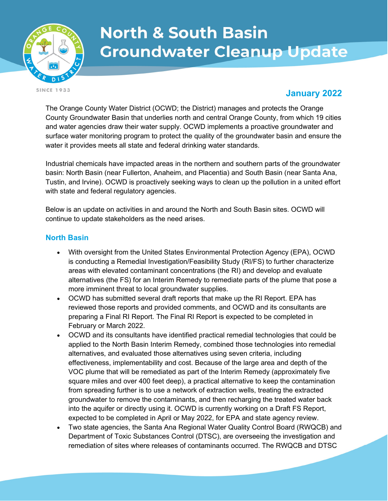

# **North & South Basin Groundwater Cleanup Update**

**SINCE 1933** 

# January 2022

The Orange County Water District (OCWD; the District) manages and protects the Orange County Groundwater Basin that underlies north and central Orange County, from which 19 cities and water agencies draw their water supply. OCWD implements a proactive groundwater and surface water monitoring program to protect the quality of the groundwater basin and ensure the water it provides meets all state and federal drinking water standards.

Industrial chemicals have impacted areas in the northern and southern parts of the groundwater basin: North Basin (near Fullerton, Anaheim, and Placentia) and South Basin (near Santa Ana, Tustin, and Irvine). OCWD is proactively seeking ways to clean up the pollution in a united effort with state and federal regulatory agencies.

Below is an update on activities in and around the North and South Basin sites. OCWD will continue to update stakeholders as the need arises.

#### North Basin

- With oversight from the United States Environmental Protection Agency (EPA), OCWD is conducting a Remedial Investigation/Feasibility Study (RI/FS) to further characterize areas with elevated contaminant concentrations (the RI) and develop and evaluate alternatives (the FS) for an Interim Remedy to remediate parts of the plume that pose a more imminent threat to local groundwater supplies.
- OCWD has submitted several draft reports that make up the RI Report. EPA has reviewed those reports and provided comments, and OCWD and its consultants are preparing a Final RI Report. The Final RI Report is expected to be completed in February or March 2022.
- OCWD and its consultants have identified practical remedial technologies that could be applied to the North Basin Interim Remedy, combined those technologies into remedial alternatives, and evaluated those alternatives using seven criteria, including effectiveness, implementability and cost. Because of the large area and depth of the VOC plume that will be remediated as part of the Interim Remedy (approximately five square miles and over 400 feet deep), a practical alternative to keep the contamination from spreading further is to use a network of extraction wells, treating the extracted groundwater to remove the contaminants, and then recharging the treated water back into the aquifer or directly using it. OCWD is currently working on a Draft FS Report, expected to be completed in April or May 2022, for EPA and state agency review.
- Two state agencies, the Santa Ana Regional Water Quality Control Board (RWQCB) and Department of Toxic Substances Control (DTSC), are overseeing the investigation and remediation of sites where releases of contaminants occurred. The RWQCB and DTSC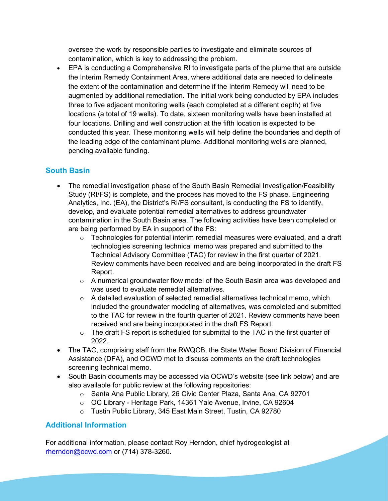oversee the work by responsible parties to investigate and eliminate sources of contamination, which is key to addressing the problem.

 EPA is conducting a Comprehensive RI to investigate parts of the plume that are outside the Interim Remedy Containment Area, where additional data are needed to delineate the extent of the contamination and determine if the Interim Remedy will need to be augmented by additional remediation. The initial work being conducted by EPA includes three to five adjacent monitoring wells (each completed at a different depth) at five locations (a total of 19 wells). To date, sixteen monitoring wells have been installed at four locations. Drilling and well construction at the fifth location is expected to be conducted this year. These monitoring wells will help define the boundaries and depth of the leading edge of the contaminant plume. Additional monitoring wells are planned, pending available funding.

## South Basin

- The remedial investigation phase of the South Basin Remedial Investigation/Feasibility Study (RI/FS) is complete, and the process has moved to the FS phase. Engineering Analytics, Inc. (EA), the District's RI/FS consultant, is conducting the FS to identify, develop, and evaluate potential remedial alternatives to address groundwater contamination in the South Basin area. The following activities have been completed or are being performed by EA in support of the FS:
	- $\circ$  Technologies for potential interim remedial measures were evaluated, and a draft technologies screening technical memo was prepared and submitted to the Technical Advisory Committee (TAC) for review in the first quarter of 2021. Review comments have been received and are being incorporated in the draft FS Report.
	- o A numerical groundwater flow model of the South Basin area was developed and was used to evaluate remedial alternatives.
	- $\circ$  A detailed evaluation of selected remedial alternatives technical memo, which included the groundwater modeling of alternatives, was completed and submitted to the TAC for review in the fourth quarter of 2021. Review comments have been received and are being incorporated in the draft FS Report.
	- $\circ$  The draft FS report is scheduled for submittal to the TAC in the first quarter of 2022.
- The TAC, comprising staff from the RWQCB, the State Water Board Division of Financial Assistance (DFA), and OCWD met to discuss comments on the draft technologies screening technical memo.
- South Basin documents may be accessed via OCWD's website (see link below) and are also available for public review at the following repositories:
	- o Santa Ana Public Library, 26 Civic Center Plaza, Santa Ana, CA 92701
	- o OC Library Heritage Park, 14361 Yale Avenue, Irvine, CA 92604
	- o Tustin Public Library, 345 East Main Street, Tustin, CA 92780

### Additional Information

For additional information, please contact Roy Herndon, chief hydrogeologist at rherndon@ocwd.com or (714) 378-3260.